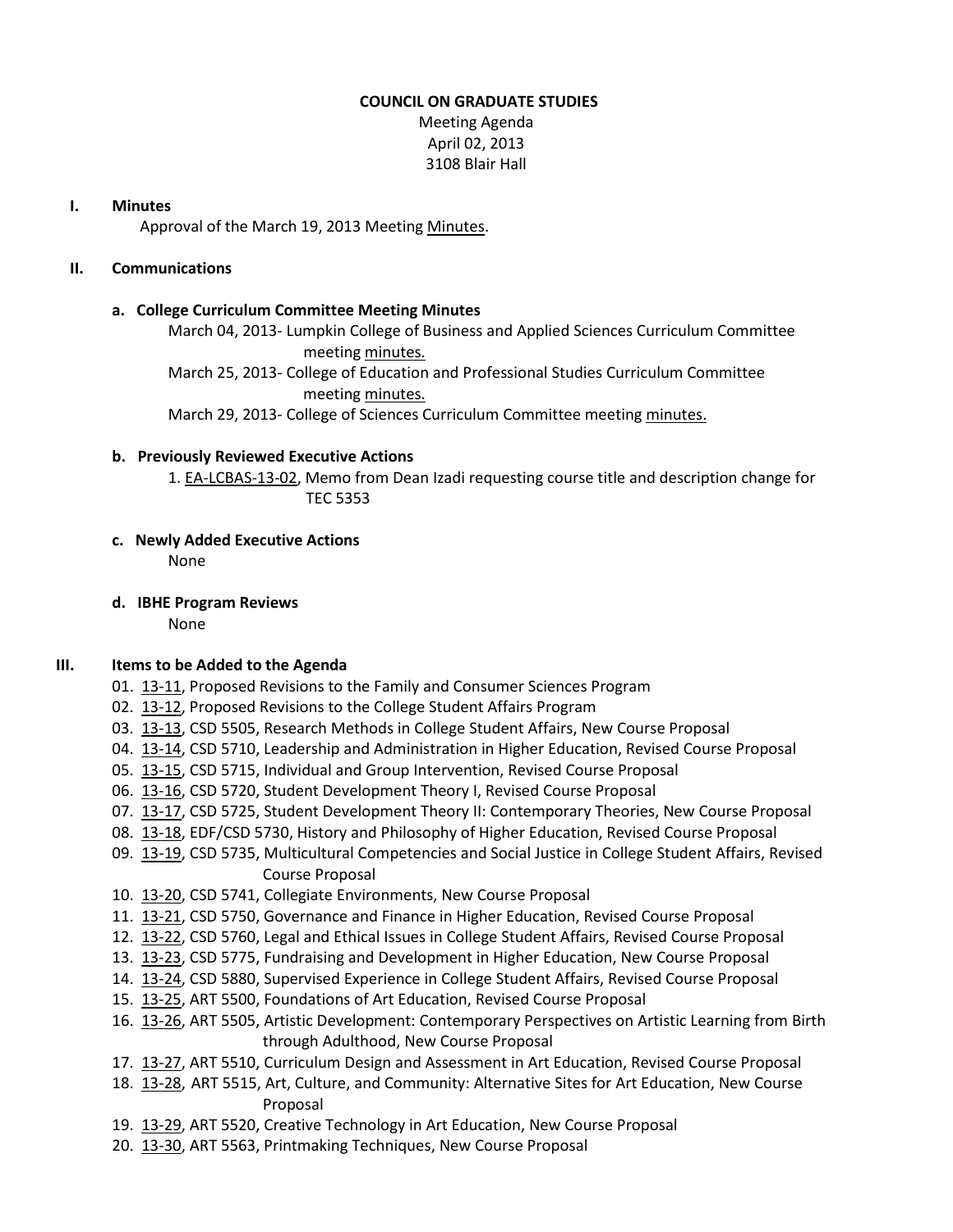## **COUNCIL ON GRADUATE STUDIES**

Meeting Agenda April 02, 2013 3108 Blair Hall

### **I. Minutes**

Approval of the March 19, 2013 Meetin[g Minutes.](http://castle.eiu.edu/eiucgs/currentminutes/Minutes03-19-13.pdf)

## **II. Communications**

### **a. College Curriculum Committee Meeting Minutes**

March 04, 2013- Lumpkin College of Business and Applied Sciences Curriculum Committee meeting [minutes.](http://castle.eiu.edu/~eiucgs/currentagendaitems/LCBASMin03-04-13.pdf)

March 25, 2013- College of Education and Professional Studies Curriculum Committee meeting [minutes.](http://castle.eiu.edu/~eiucgs/currentagendaitems/CEPSMin03-25-13.pdf)

March 29, 2013- College of Sciences Curriculum Committee meeting [minutes.](http://castle.eiu.edu/~eiucgs/currentagendaitems/COSMin03-29-13.pdf)

### **b. Previously Reviewed Executive Actions**

1. [EA-LCBAS-13-02,](http://castle.eiu.edu/~eiucgs/exec-actions/EA-LCBAS-13-02.pdf) Memo from Dean Izadi requesting course title and description change for TEC 5353

### **c. Newly Added Executive Actions**

None

**d. IBHE Program Reviews** None

# **III. Items to be Added to the Agenda**

- 01. [13-11,](http://castle.eiu.edu/~eiucgs/currentagendaitems/agenda13-11.pdf) Proposed Revisions to the Family and Consumer Sciences Program
- 02. [13-12,](http://castle.eiu.edu/~eiucgs/currentagendaitems/agenda13-12.pdf) Proposed Revisions to the College Student Affairs Program
- 03. [13-13,](http://castle.eiu.edu/~eiucgs/currentagendaitems/agenda13-13.pdf) CSD 5505, Research Methods in College Student Affairs, New Course Proposal
- 04. [13-14,](http://castle.eiu.edu/~eiucgs/currentagendaitems/agenda13-14.pdf) CSD 5710, Leadership and Administration in Higher Education, Revised Course Proposal
- 05. [13-15,](http://castle.eiu.edu/~eiucgs/currentagendaitems/agenda13-15.pdf) CSD 5715, Individual and Group Intervention, Revised Course Proposal
- 06. [13-16,](http://castle.eiu.edu/~eiucgs/currentagendaitems/agenda13-16.pdf) CSD 5720, Student Development Theory I, Revised Course Proposal
- 07. [13-17,](http://castle.eiu.edu/~eiucgs/currentagendaitems/agenda13-17.pdf) CSD 5725, Student Development Theory II: Contemporary Theories, New Course Proposal
- 08. [13-18,](http://castle.eiu.edu/~eiucgs/currentagendaitems/agenda13-18.pdf) EDF/CSD 5730, History and Philosophy of Higher Education, Revised Course Proposal
- 09. [13-19,](http://castle.eiu.edu/~eiucgs/currentagendaitems/agenda13-19.pdf) CSD 5735, Multicultural Competencies and Social Justice in College Student Affairs, Revised Course Proposal
- 10. [13-20,](http://castle.eiu.edu/~eiucgs/currentagendaitems/agenda13-20.pdf) CSD 5741, Collegiate Environments, New Course Proposal
- 11. [13-21,](http://castle.eiu.edu/~eiucgs/currentagendaitems/agenda13-21.pdf) CSD 5750, Governance and Finance in Higher Education, Revised Course Proposal
- 12. [13-22,](http://castle.eiu.edu/~eiucgs/currentagendaitems/agenda13-22.pdf) CSD 5760, Legal and Ethical Issues in College Student Affairs, Revised Course Proposal
- 13. [13-23,](http://castle.eiu.edu/~eiucgs/currentagendaitems/agenda13-23.pdf) CSD 5775, Fundraising and Development in Higher Education, New Course Proposal
- 14. [13-24,](http://castle.eiu.edu/~eiucgs/currentagendaitems/agenda13-24.pdf) CSD 5880, Supervised Experience in College Student Affairs, Revised Course Proposal
- 15. [13-25,](http://castle.eiu.edu/~eiucgs/currentagendaitems/agenda13-25.pdf) ART 5500, Foundations of Art Education, Revised Course Proposal
- 16. [13-26,](http://castle.eiu.edu/~eiucgs/currentagendaitems/agenda13-26.pdf) ART 5505, Artistic Development: Contemporary Perspectives on Artistic Learning from Birth through Adulthood, New Course Proposal
- 17. [13-27,](http://castle.eiu.edu/~eiucgs/currentagendaitems/agenda13-27.pdf) ART 5510, Curriculum Design and Assessment in Art Education, Revised Course Proposal
- 18. [13-28,](http://castle.eiu.edu/~eiucgs/currentagendaitems/agenda13-28.pdf) ART 5515, Art, Culture, and Community: Alternative Sites for Art Education, New Course Proposal
- 19. [13-29,](http://castle.eiu.edu/~eiucgs/currentagendaitems/agenda13-29.pdf) ART 5520, Creative Technology in Art Education, New Course Proposal
- 20. [13-30,](http://castle.eiu.edu/~eiucgs/currentagendaitems/agenda13-30.pdf) ART 5563, Printmaking Techniques, New Course Proposal